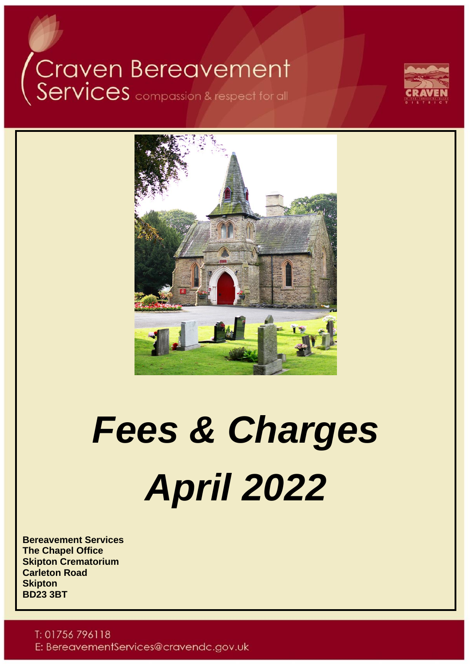# Craven Bereavement<br>Services compassion & respect for all





## *Fees & Charges April 2022*

**Bereavement Services The Chapel Office Skipton Crematorium Carleton Road Skipton BD23 3BT**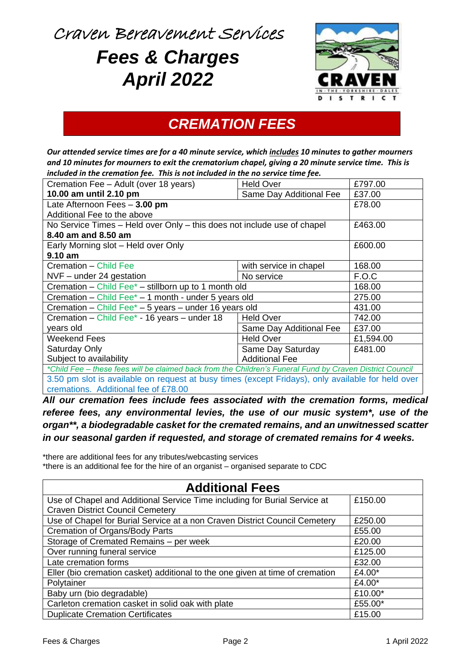Craven Bereavement Services

## *Fees & Charges April 2022*



## *CREMATION FEES*

*Our attended service times are for a 40 minute service, which includes 10 minutes to gather mourners and 10 minutes for mourners to exit the crematorium chapel, giving a 20 minute service time. This is included in the cremation fee. This is not included in the no service time fee.*

| Cremation Fee - Adult (over 18 years)                                                                    | <b>Held Over</b>        | £797.00   |  |
|----------------------------------------------------------------------------------------------------------|-------------------------|-----------|--|
| 10.00 am until 2.10 pm                                                                                   | Same Day Additional Fee | £37.00    |  |
| Late Afternoon Fees - 3.00 pm                                                                            |                         | £78.00    |  |
| Additional Fee to the above                                                                              |                         |           |  |
| No Service Times – Held over Only – this does not include use of chapel                                  |                         | £463.00   |  |
| 8.40 am and 8.50 am                                                                                      |                         |           |  |
| Early Morning slot - Held over Only                                                                      |                         | £600.00   |  |
| 9.10 am                                                                                                  |                         |           |  |
| Cremation – Child Fee                                                                                    | with service in chapel  | 168.00    |  |
| $NVF$ – under 24 gestation                                                                               | No service              | F.O.C     |  |
| Cremation - Child Fee* - stillborn up to 1 month old                                                     | 168.00                  |           |  |
| Cremation – Child Fee $^*$ – 1 month - under 5 years old                                                 |                         | 275.00    |  |
| Cremation - Child Fee* $-$ 5 years - under 16 years old                                                  |                         | 431.00    |  |
| Cremation - Child Fee* - 16 years - under 18                                                             | <b>Held Over</b>        | 742.00    |  |
| years old                                                                                                | Same Day Additional Fee | £37.00    |  |
| Weekend Fees                                                                                             | <b>Held Over</b>        | £1,594.00 |  |
| Saturday Only                                                                                            | Same Day Saturday       | £481.00   |  |
| Subject to availability<br><b>Additional Fee</b>                                                         |                         |           |  |
| *Child Fee - these fees will be claimed back from the Children's Funeral Fund by Craven District Council |                         |           |  |
| 3.50 pm slot is available on request at busy times (except Fridays), only available for held over        |                         |           |  |
| cremations. Additional fee of £78.00                                                                     |                         |           |  |

*All our cremation fees include fees associated with the cremation forms, medical referee fees, any environmental levies, the use of our music system\*, use of the organ\*\*, a biodegradable casket for the cremated remains, and an unwitnessed scatter in our seasonal garden if requested, and storage of cremated remains for 4 weeks.*

\*there are additional fees for any tributes/webcasting services \*there is an additional fee for the hire of an organist – organised separate to CDC

| <b>Additional Fees</b>                                                        |           |
|-------------------------------------------------------------------------------|-----------|
| Use of Chapel and Additional Service Time including for Burial Service at     | £150.00   |
| <b>Craven District Council Cemetery</b>                                       |           |
| Use of Chapel for Burial Service at a non Craven District Council Cemetery    | £250.00   |
| Cremation of Organs/Body Parts                                                | £55.00    |
| Storage of Cremated Remains - per week                                        | £20.00    |
| Over running funeral service                                                  | £125.00   |
| Late cremation forms                                                          | £32.00    |
| Eller (bio cremation casket) additional to the one given at time of cremation | £4.00 $*$ |
| Polytainer                                                                    | £4.00*    |
| Baby urn (bio degradable)                                                     | £10.00*   |
| Carleton cremation casket in solid oak with plate                             | £55.00*   |
| <b>Duplicate Cremation Certificates</b>                                       | £15.00    |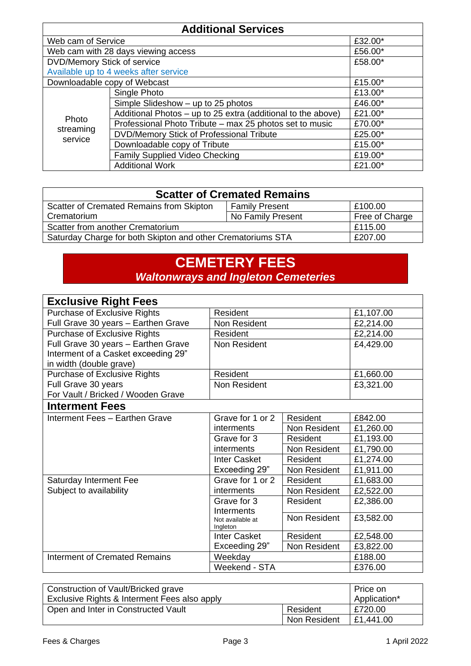| <b>Additional Services</b>   |                                                              |         |
|------------------------------|--------------------------------------------------------------|---------|
| Web cam of Service           |                                                              | £32.00* |
|                              | Web cam with 28 days viewing access                          | £56.00* |
| DVD/Memory Stick of service  |                                                              | £58.00* |
|                              | Available up to 4 weeks after service                        |         |
| Downloadable copy of Webcast |                                                              | £15.00* |
|                              | Single Photo                                                 | £13.00* |
|                              | Simple Slideshow - up to 25 photos                           | £46.00* |
|                              | Additional Photos - up to 25 extra (additional to the above) | £21.00* |
| Photo                        | Professional Photo Tribute – max 25 photos set to music      | £70.00* |
| streaming<br>service         | DVD/Memory Stick of Professional Tribute                     | £25.00* |
|                              | Downloadable copy of Tribute                                 | £15.00* |
|                              | Family Supplied Video Checking                               | £19.00* |
|                              | <b>Additional Work</b>                                       | £21.00* |

| <b>Scatter of Cremated Remains</b>                          |                       |                |
|-------------------------------------------------------------|-----------------------|----------------|
| Scatter of Cremated Remains from Skipton                    | <b>Family Present</b> | £100.00        |
| Crematorium                                                 | No Family Present     | Free of Charge |
| Scatter from another Crematorium                            | £115.00               |                |
| Saturday Charge for both Skipton and other Crematoriums STA |                       | £207.00        |

## **CEMETERY FEES** *Waltonwrays and Ingleton Cemeteries*

| <b>Exclusive Right Fees</b>          |                              |              |           |
|--------------------------------------|------------------------------|--------------|-----------|
| <b>Purchase of Exclusive Rights</b>  | Resident                     |              | £1,107.00 |
| Full Grave 30 years - Earthen Grave  | Non Resident                 |              | £2,214.00 |
| Purchase of Exclusive Rights         | Resident                     |              | £2,214.00 |
| Full Grave 30 years - Earthen Grave  | Non Resident                 |              | £4,429.00 |
| Interment of a Casket exceeding 29"  |                              |              |           |
| in width (double grave)              |                              |              |           |
| <b>Purchase of Exclusive Rights</b>  | Resident                     |              | £1,660.00 |
| Full Grave 30 years                  | Non Resident                 |              | £3,321.00 |
| For Vault / Bricked / Wooden Grave   |                              |              |           |
| <b>Interment Fees</b>                |                              |              |           |
| Interment Fees - Earthen Grave       | Grave for 1 or 2             | Resident     | £842.00   |
|                                      | interments                   | Non Resident | £1,260.00 |
|                                      | Grave for 3                  | Resident     | £1,193.00 |
|                                      | interments                   | Non Resident | £1,790.00 |
|                                      | <b>Inter Casket</b>          | Resident     | £1,274.00 |
|                                      | Exceeding 29"                | Non Resident | £1,911.00 |
| Saturday Interment Fee               | Grave for 1 or 2             | Resident     | £1,683.00 |
| Subject to availability              | interments                   | Non Resident | £2,522.00 |
|                                      | Grave for 3<br>Interments    | Resident     | £2,386.00 |
|                                      | Not available at<br>Ingleton | Non Resident | £3,582.00 |
|                                      | <b>Inter Casket</b>          | Resident     | £2,548.00 |
|                                      | Exceeding 29"                | Non Resident | £3,822.00 |
| <b>Interment of Cremated Remains</b> | Weekday                      |              | £188.00   |
|                                      | Weekend - STA                |              | £376.00   |

| Construction of Vault/Bricked grave          |              | Price on     |
|----------------------------------------------|--------------|--------------|
| Exclusive Rights & Interment Fees also apply |              | Application* |
| Open and Inter in Constructed Vault          | Resident     | £720.00      |
|                                              | Non Resident | £1,441.00    |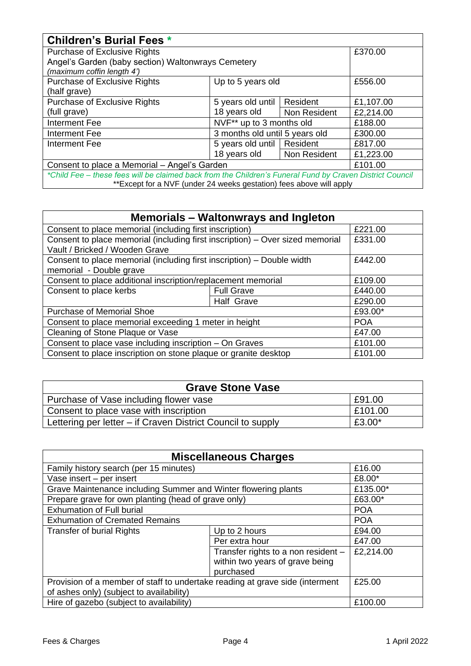| <b>Children's Burial Fees *</b>                                                                          |                                |              |           |
|----------------------------------------------------------------------------------------------------------|--------------------------------|--------------|-----------|
| Purchase of Exclusive Rights                                                                             |                                |              | £370.00   |
| Angel's Garden (baby section) Waltonwrays Cemetery<br>(maximum coffin length 4')                         |                                |              |           |
| Purchase of Exclusive Rights                                                                             | Up to 5 years old              |              | £556.00   |
| (half grave)                                                                                             |                                |              |           |
| Purchase of Exclusive Rights                                                                             | 5 years old until              | Resident     | £1,107.00 |
| (full grave)                                                                                             | 18 years old                   | Non Resident | £2,214.00 |
| Interment Fee                                                                                            | NVF** up to 3 months old       |              | £188.00   |
| Interment Fee                                                                                            | 3 months old until 5 years old |              | £300.00   |
| Interment Fee                                                                                            | 5 years old until   Resident   |              | £817.00   |
|                                                                                                          | 18 years old                   | Non Resident | £1,223.00 |
| Consent to place a Memorial - Angel's Garden                                                             |                                |              | £101.00   |
| *Child Fee - these fees will be claimed back from the Children's Funeral Fund by Craven District Council |                                |              |           |
| **Except for a NVF (under 24 weeks gestation) fees above will apply                                      |                                |              |           |

| Memorials – Waltonwrays and Ingleton                                          |                   |            |
|-------------------------------------------------------------------------------|-------------------|------------|
| Consent to place memorial (including first inscription)                       |                   | £221.00    |
| Consent to place memorial (including first inscription) - Over sized memorial |                   | £331.00    |
| Vault / Bricked / Wooden Grave                                                |                   |            |
| Consent to place memorial (including first inscription) – Double width        |                   | £442.00    |
| memorial - Double grave                                                       |                   |            |
| Consent to place additional inscription/replacement memorial                  |                   | £109.00    |
| Consent to place kerbs                                                        | <b>Full Grave</b> | £440.00    |
|                                                                               | Half Grave        | £290.00    |
| <b>Purchase of Memorial Shoe</b>                                              |                   | £93.00*    |
| Consent to place memorial exceeding 1 meter in height                         |                   | <b>POA</b> |
| Cleaning of Stone Plaque or Vase                                              |                   | £47.00     |
| Consent to place vase including inscription - On Graves                       |                   | £101.00    |
| Consent to place inscription on stone plaque or granite desktop               |                   | £101.00    |

| <b>Grave Stone Vase</b>                                     |         |
|-------------------------------------------------------------|---------|
| Purchase of Vase including flower vase                      | £91.00  |
| Consent to place vase with inscription                      | £101.00 |
| Lettering per letter – if Craven District Council to supply | £3.00*  |

| <b>Miscellaneous Charges</b>                                                 |                                     |            |
|------------------------------------------------------------------------------|-------------------------------------|------------|
| Family history search (per 15 minutes)                                       |                                     | £16.00     |
| Vase insert - per insert                                                     |                                     | £8.00*     |
| Grave Maintenance including Summer and Winter flowering plants               |                                     | £135.00*   |
| Prepare grave for own planting (head of grave only)                          |                                     | £63.00*    |
| <b>Exhumation of Full burial</b>                                             |                                     | <b>POA</b> |
| <b>Exhumation of Cremated Remains</b>                                        |                                     | <b>POA</b> |
| <b>Transfer of burial Rights</b>                                             | Up to 2 hours                       | £94.00     |
|                                                                              | Per extra hour                      | £47.00     |
|                                                                              | Transfer rights to a non resident - | £2,214.00  |
| within two years of grave being                                              |                                     |            |
| purchased                                                                    |                                     |            |
| Provision of a member of staff to undertake reading at grave side (interment |                                     | £25.00     |
| of ashes only) (subject to availability)                                     |                                     |            |
| Hire of gazebo (subject to availability)                                     |                                     | £100.00    |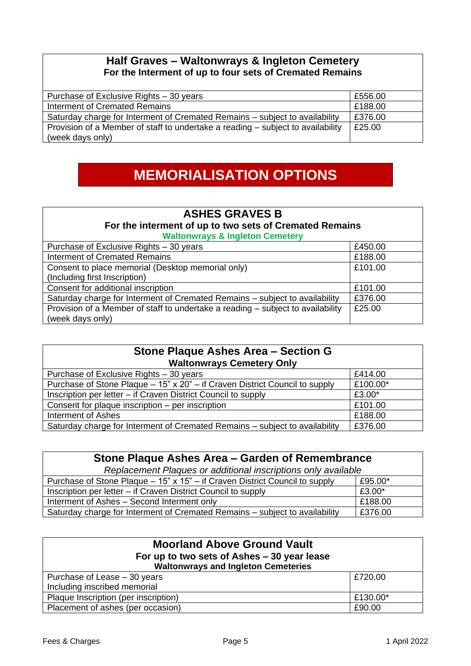#### **Half Graves – Waltonwrays & Ingleton Cemetery For the Interment of up to four sets of Cremated Remains**

| Purchase of Exclusive Rights - 30 years                                         | £556.00 |
|---------------------------------------------------------------------------------|---------|
| Interment of Cremated Remains                                                   | £188.00 |
| Saturday charge for Interment of Cremated Remains – subject to availability     | £376.00 |
| Provision of a Member of staff to undertake a reading – subject to availability | £25.00  |
| (week days only)                                                                |         |

## **MEMORIALISATION OPTIONS**

### **ASHES GRAVES B For the interment of up to two sets of Cremated Remains**

| <b>Waltonwrays &amp; Ingleton Cemetery</b>                                      |         |  |
|---------------------------------------------------------------------------------|---------|--|
| Purchase of Exclusive Rights - 30 years                                         | £450.00 |  |
| <b>Interment of Cremated Remains</b>                                            | £188.00 |  |
| Consent to place memorial (Desktop memorial only)                               | £101.00 |  |
| (Including first Inscription)                                                   |         |  |
| Consent for additional inscription                                              | £101.00 |  |
| Saturday charge for Interment of Cremated Remains - subject to availability     | £376.00 |  |
| Provision of a Member of staff to undertake a reading - subject to availability | £25.00  |  |
| (week days only)                                                                |         |  |

| Stone Plaque Ashes Area - Section G<br><b>Waltonwrays Cemetery Only</b>     |          |  |
|-----------------------------------------------------------------------------|----------|--|
| Purchase of Exclusive Rights - 30 years                                     | £414.00  |  |
| Purchase of Stone Plaque - 15" x 20" - if Craven District Council to supply | £100.00* |  |
| Inscription per letter – if Craven District Council to supply               | £3.00*   |  |
| Consent for plaque inscription - per inscription                            | £101.00  |  |
| Interment of Ashes                                                          | £188.00  |  |
| Saturday charge for Interment of Cremated Remains - subject to availability | £376.00  |  |

| Stone Plaque Ashes Area - Garden of Remembrance                                        |         |  |
|----------------------------------------------------------------------------------------|---------|--|
| Replacement Plaques or additional inscriptions only available                          |         |  |
| £95.00*<br>Purchase of Stone Plaque - 15" x 15" - if Craven District Council to supply |         |  |
| Inscription per letter – if Craven District Council to supply                          | £3.00*  |  |
| Interment of Ashes - Second Interment only                                             | £188.00 |  |
| Saturday charge for Interment of Cremated Remains – subject to availability            | £376.00 |  |

| <b>Moorland Above Ground Vault</b><br>For up to two sets of Ashes - 30 year lease<br><b>Waltonwrays and Ingleton Cemeteries</b> |          |  |
|---------------------------------------------------------------------------------------------------------------------------------|----------|--|
| Purchase of Lease - 30 years                                                                                                    | £720.00  |  |
| Including inscribed memorial                                                                                                    |          |  |
| Plaque Inscription (per inscription)                                                                                            | £130.00* |  |
| Placement of ashes (per occasion)                                                                                               | £90.00   |  |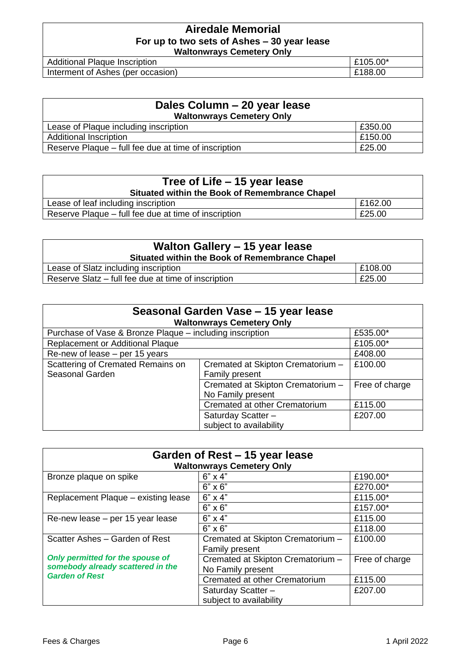#### **Airedale Memorial For up to two sets of Ashes – 30 year lease Waltonwrays Cemetery Only**

Additional Plaque Inscription **Example 2018** 2105.00<sup>\*</sup> Interment of Ashes (per occasion) **E**188.00

| Dales Column - 20 year lease<br><b>Waltonwrays Cemetery Only</b> |         |  |
|------------------------------------------------------------------|---------|--|
| Lease of Plaque including inscription                            | £350.00 |  |
| <b>Additional Inscription</b>                                    | £150.00 |  |
| Reserve Plaque – full fee due at time of inscription             | £25.00  |  |

| Tree of Life – 15 year lease<br>Situated within the Book of Remembrance Chapel |         |  |
|--------------------------------------------------------------------------------|---------|--|
| Lease of leaf including inscription                                            | E162.00 |  |
| Reserve Plaque – full fee due at time of inscription                           | £25.00  |  |

| Walton Gallery - 15 year lease<br>Situated within the Book of Remembrance Chapel |         |  |
|----------------------------------------------------------------------------------|---------|--|
| Lease of Slatz including inscription                                             | E108.00 |  |
| Reserve Slatz – full fee due at time of inscription                              | £25.00  |  |

| Seasonal Garden Vase - 15 year lease<br><b>Waltonwrays Cemetery Only</b> |                                   |                |  |
|--------------------------------------------------------------------------|-----------------------------------|----------------|--|
| Purchase of Vase & Bronze Plaque - including inscription                 |                                   | £535.00*       |  |
| Replacement or Additional Plaque                                         |                                   | £105.00*       |  |
| Re-new of lease – per 15 years                                           |                                   | £408.00        |  |
| Scattering of Cremated Remains on                                        | Cremated at Skipton Crematorium - | £100.00        |  |
| Seasonal Garden                                                          | Family present                    |                |  |
|                                                                          | Cremated at Skipton Crematorium - | Free of charge |  |
|                                                                          | No Family present                 |                |  |
|                                                                          | Cremated at other Crematorium     | £115.00        |  |
|                                                                          | Saturday Scatter -                | £207.00        |  |
|                                                                          | subject to availability           |                |  |

| Garden of Rest – 15 year lease<br><b>Waltonwrays Cemetery Only</b>                             |                                                        |                |
|------------------------------------------------------------------------------------------------|--------------------------------------------------------|----------------|
| Bronze plaque on spike                                                                         | $6" \times 4"$                                         | £190.00*       |
|                                                                                                | $6" \times 6"$                                         | £270.00*       |
| Replacement Plaque - existing lease                                                            | $6" \times 4"$                                         | £115.00*       |
|                                                                                                | $6" \times 6"$                                         | £157.00*       |
| Re-new lease - per 15 year lease                                                               | $6" \times 4"$                                         | £115.00        |
|                                                                                                | $6" \times 6"$                                         | £118.00        |
| Scatter Ashes - Garden of Rest                                                                 | Cremated at Skipton Crematorium -<br>Family present    | £100.00        |
| Only permitted for the spouse of<br>somebody already scattered in the<br><b>Garden of Rest</b> | Cremated at Skipton Crematorium -<br>No Family present | Free of charge |
|                                                                                                | Cremated at other Crematorium                          | £115.00        |
|                                                                                                | Saturday Scatter -                                     | £207.00        |
|                                                                                                | subject to availability                                |                |